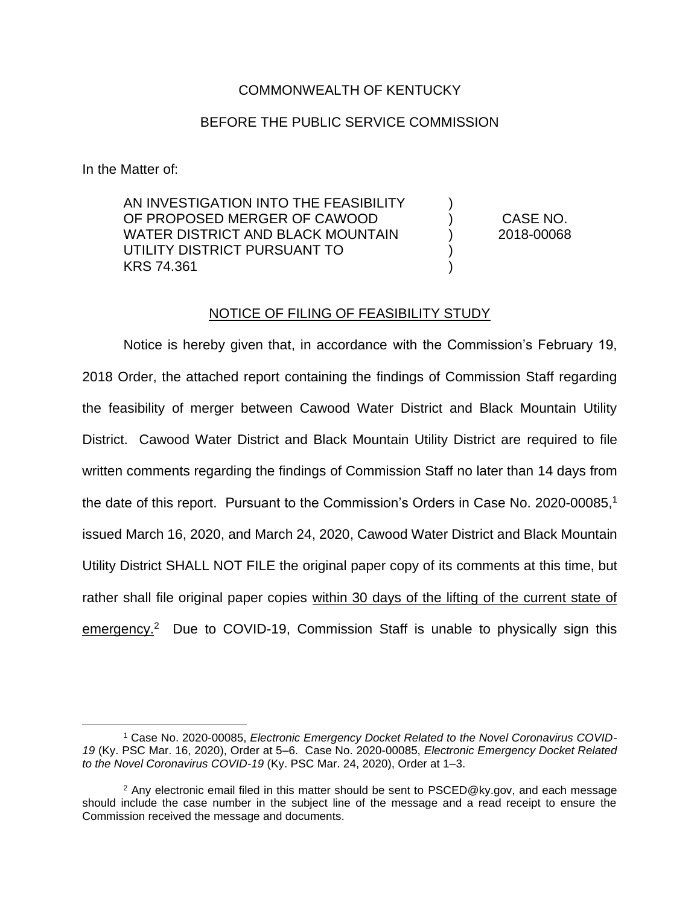## COMMONWEALTH OF KENTUCKY

## BEFORE THE PUBLIC SERVICE COMMISSION

In the Matter of:

AN INVESTIGATION INTO THE FEASIBILITY OF PROPOSED MERGER OF CAWOOD WATER DISTRICT AND BLACK MOUNTAIN UTILITY DISTRICT PURSUANT TO KRS 74.361 ) ) ) ) ) CASE NO. 2018-00068

#### NOTICE OF FILING OF FEASIBILITY STUDY

Notice is hereby given that, in accordance with the Commission's February 19, 2018 Order, the attached report containing the findings of Commission Staff regarding the feasibility of merger between Cawood Water District and Black Mountain Utility District. Cawood Water District and Black Mountain Utility District are required to file written comments regarding the findings of Commission Staff no later than 14 days from the date of this report. Pursuant to the Commission's Orders in Case No. 2020-00085,<sup>1</sup> issued March 16, 2020, and March 24, 2020, Cawood Water District and Black Mountain Utility District SHALL NOT FILE the original paper copy of its comments at this time, but rather shall file original paper copies within 30 days of the lifting of the current state of emergency.<sup>2</sup> Due to COVID-19, Commission Staff is unable to physically sign this

<sup>1</sup> Case No. 2020-00085, *Electronic Emergency Docket Related to the Novel Coronavirus COVID-19* (Ky. PSC Mar. 16, 2020), Order at 5–6. Case No. 2020-00085, *Electronic Emergency Docket Related to the Novel Coronavirus COVID-19* (Ky. PSC Mar. 24, 2020), Order at 1–3.

<sup>&</sup>lt;sup>2</sup> Any electronic email filed in this matter should be sent to PSCED@ky.gov, and each message should include the case number in the subject line of the message and a read receipt to ensure the Commission received the message and documents.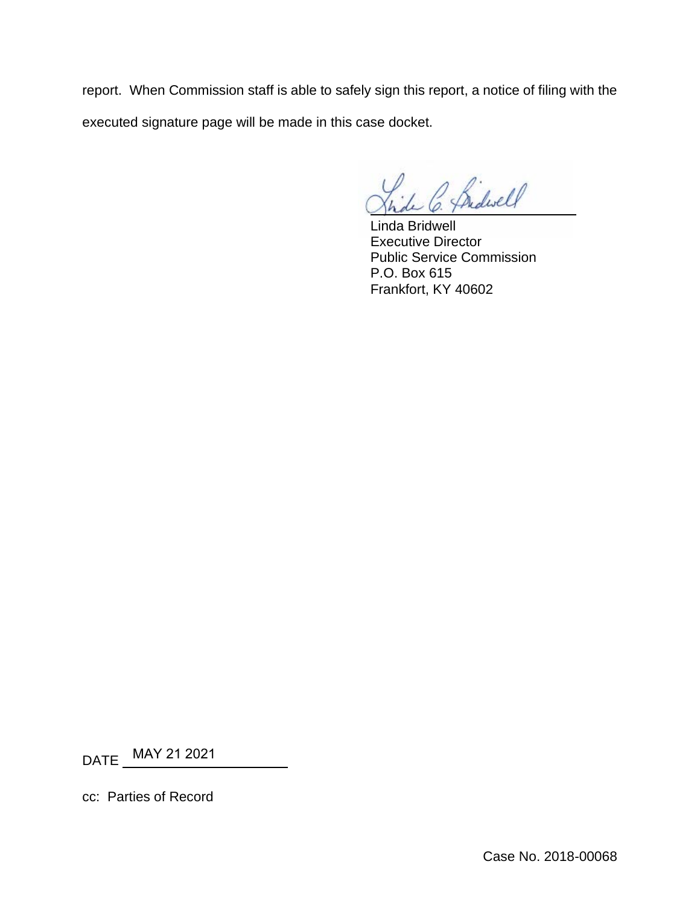report. When Commission staff is able to safely sign this report, a notice of filing with the executed signature page will be made in this case docket.

Bidwell

Linda Bridwell Executive Director Public Service Commission P.O. Box 615 Frankfort, KY 40602

DATE MAY 21 2021

cc: Parties of Record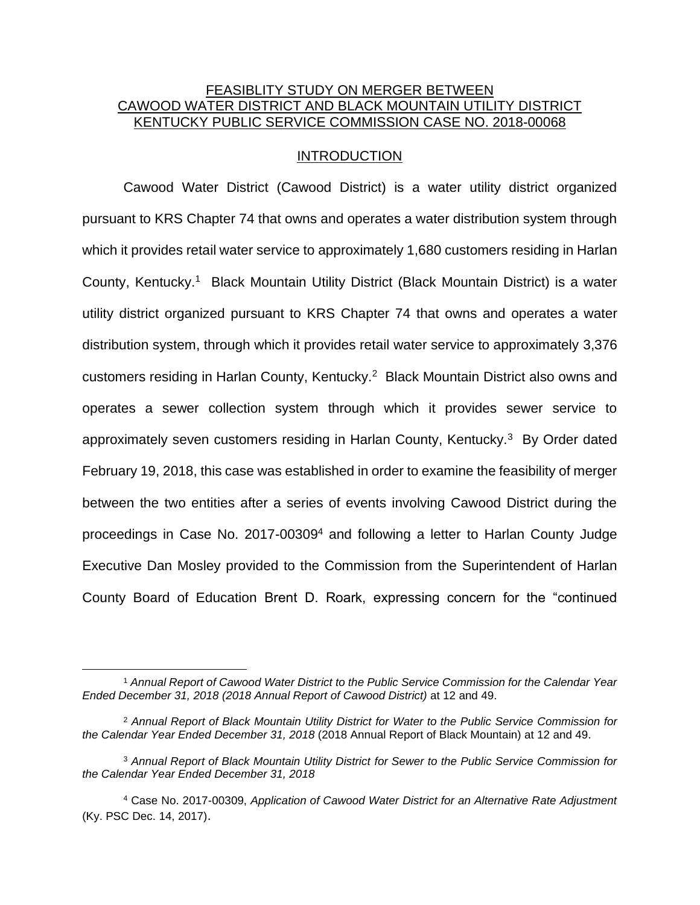# FEASIBLITY STUDY ON MERGER BETWEEN CAWOOD WATER DISTRICT AND BLACK MOUNTAIN UTILITY DISTRICT KENTUCKY PUBLIC SERVICE COMMISSION CASE NO. 2018-00068

### INTRODUCTION

Cawood Water District (Cawood District) is a water utility district organized pursuant to KRS Chapter 74 that owns and operates a water distribution system through which it provides retail water service to approximately 1,680 customers residing in Harlan County, Kentucky.<sup>1</sup> Black Mountain Utility District (Black Mountain District) is a water utility district organized pursuant to KRS Chapter 74 that owns and operates a water distribution system, through which it provides retail water service to approximately 3,376 customers residing in Harlan County, Kentucky.<sup>2</sup> Black Mountain District also owns and operates a sewer collection system through which it provides sewer service to approximately seven customers residing in Harlan County, Kentucky.<sup>3</sup> By Order dated February 19, 2018, this case was established in order to examine the feasibility of merger between the two entities after a series of events involving Cawood District during the proceedings in Case No. 2017-00309<sup>4</sup> and following a letter to Harlan County Judge Executive Dan Mosley provided to the Commission from the Superintendent of Harlan County Board of Education Brent D. Roark, expressing concern for the "continued

<sup>1</sup> *Annual Report of Cawood Water District to the Public Service Commission for the Calendar Year Ended December 31, 2018 (2018 Annual Report of Cawood District)* at 12 and 49.

<sup>2</sup> *Annual Report of Black Mountain Utility District for Water to the Public Service Commission for the Calendar Year Ended December 31, 2018* (2018 Annual Report of Black Mountain) at 12 and 49.

<sup>3</sup> *Annual Report of Black Mountain Utility District for Sewer to the Public Service Commission for the Calendar Year Ended December 31, 2018* 

<sup>4</sup> Case No. 2017-00309, *Application of Cawood Water District for an Alternative Rate Adjustment* (Ky. PSC Dec. 14, 2017).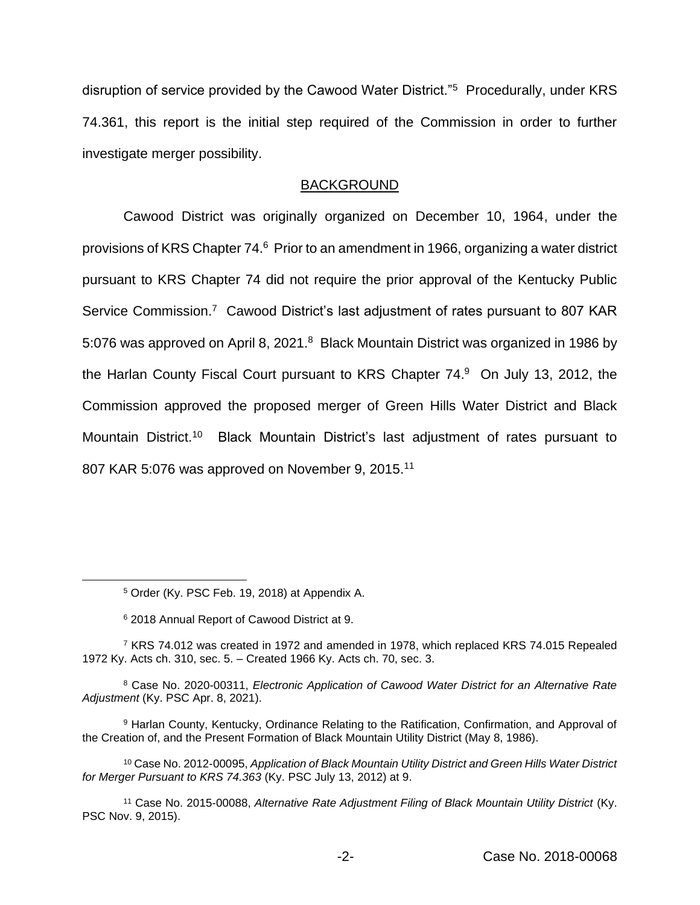disruption of service provided by the Cawood Water District."<sup>5</sup> Procedurally, under KRS 74.361, this report is the initial step required of the Commission in order to further investigate merger possibility.

## BACKGROUND

Cawood District was originally organized on December 10, 1964, under the provisions of KRS Chapter 74.<sup>6</sup> Prior to an amendment in 1966, organizing a water district pursuant to KRS Chapter 74 did not require the prior approval of the Kentucky Public Service Commission.<sup>7</sup> Cawood District's last adjustment of rates pursuant to 807 KAR 5:076 was approved on April 8, 2021.<sup>8</sup> Black Mountain District was organized in 1986 by the Harlan County Fiscal Court pursuant to KRS Chapter 74.<sup>9</sup> On July 13, 2012, the Commission approved the proposed merger of Green Hills Water District and Black Mountain District.<sup>10</sup> Black Mountain District's last adjustment of rates pursuant to 807 KAR 5:076 was approved on November 9, 2015.<sup>11</sup>

<sup>5</sup> Order (Ky. PSC Feb. 19, 2018) at Appendix A.

<sup>6</sup> 2018 Annual Report of Cawood District at 9.

 $7$  KRS 74.012 was created in 1972 and amended in 1978, which replaced KRS 74.015 Repealed 1972 Ky. Acts ch. 310, sec. 5. – Created 1966 Ky. Acts ch. 70, sec. 3.

<sup>8</sup> Case No. 2020-00311, *Electronic Application of Cawood Water District for an Alternative Rate Adjustment* (Ky. PSC Apr. 8, 2021).

<sup>9</sup> Harlan County, Kentucky, Ordinance Relating to the Ratification, Confirmation, and Approval of the Creation of, and the Present Formation of Black Mountain Utility District (May 8, 1986).

<sup>10</sup> Case No. 2012-00095, *Application of Black Mountain Utility District and Green Hills Water District for Merger Pursuant to KRS 74.363* (Ky. PSC July 13, 2012) at 9.

<sup>11</sup> Case No. 2015-00088, *Alternative Rate Adjustment Filing of Black Mountain Utility District* (Ky. PSC Nov. 9, 2015).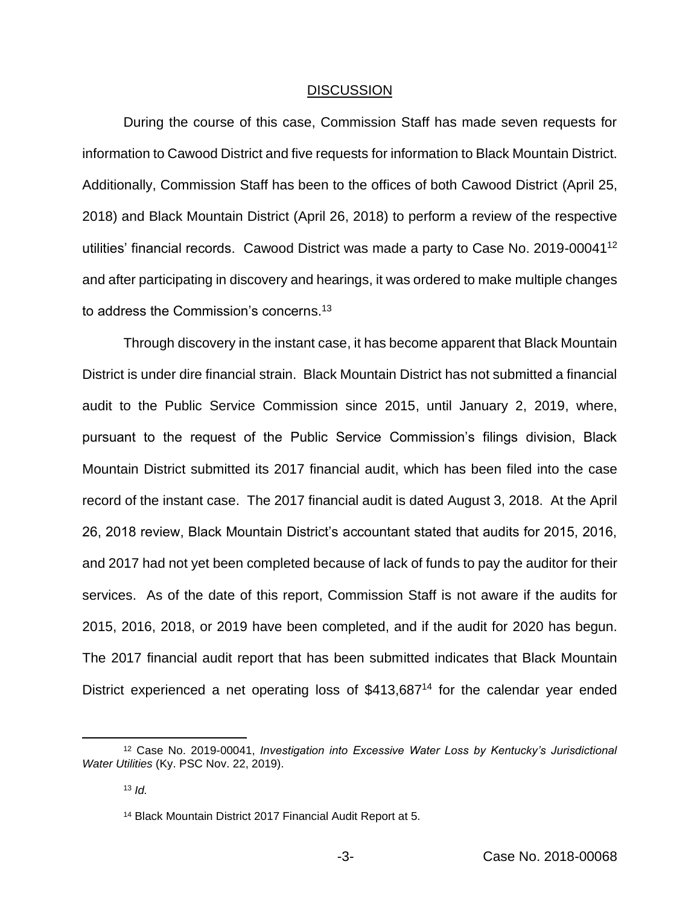#### DISCUSSION

During the course of this case, Commission Staff has made seven requests for information to Cawood District and five requests for information to Black Mountain District. Additionally, Commission Staff has been to the offices of both Cawood District (April 25, 2018) and Black Mountain District (April 26, 2018) to perform a review of the respective utilities' financial records. Cawood District was made a party to Case No. 2019-00041<sup>12</sup> and after participating in discovery and hearings, it was ordered to make multiple changes to address the Commission's concerns.<sup>13</sup>

Through discovery in the instant case, it has become apparent that Black Mountain District is under dire financial strain. Black Mountain District has not submitted a financial audit to the Public Service Commission since 2015, until January 2, 2019, where, pursuant to the request of the Public Service Commission's filings division, Black Mountain District submitted its 2017 financial audit, which has been filed into the case record of the instant case. The 2017 financial audit is dated August 3, 2018. At the April 26, 2018 review, Black Mountain District's accountant stated that audits for 2015, 2016, and 2017 had not yet been completed because of lack of funds to pay the auditor for their services. As of the date of this report, Commission Staff is not aware if the audits for 2015, 2016, 2018, or 2019 have been completed, and if the audit for 2020 has begun. The 2017 financial audit report that has been submitted indicates that Black Mountain District experienced a net operating loss of \$413,687<sup>14</sup> for the calendar year ended

<sup>12</sup> Case No. 2019-00041, *Investigation into Excessive Water Loss by Kentucky's Jurisdictional Water Utilities* (Ky. PSC Nov. 22, 2019).

<sup>13</sup> *Id.*

<sup>14</sup> Black Mountain District 2017 Financial Audit Report at 5.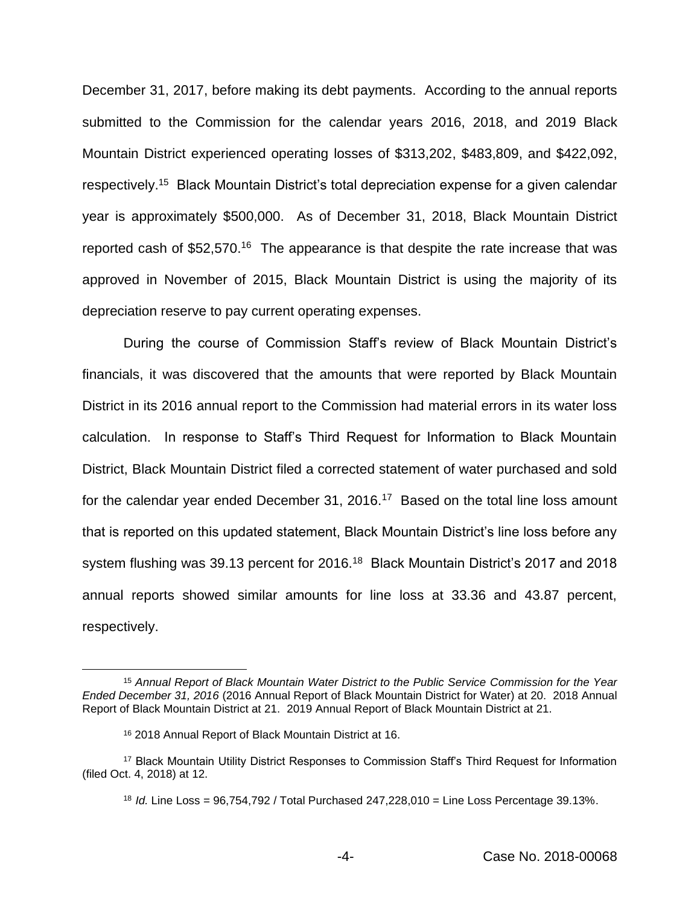December 31, 2017, before making its debt payments. According to the annual reports submitted to the Commission for the calendar years 2016, 2018, and 2019 Black Mountain District experienced operating losses of \$313,202, \$483,809, and \$422,092, respectively.<sup>15</sup> Black Mountain District's total depreciation expense for a given calendar year is approximately \$500,000. As of December 31, 2018, Black Mountain District reported cash of \$52,570.<sup>16</sup> The appearance is that despite the rate increase that was approved in November of 2015, Black Mountain District is using the majority of its depreciation reserve to pay current operating expenses.

During the course of Commission Staff's review of Black Mountain District's financials, it was discovered that the amounts that were reported by Black Mountain District in its 2016 annual report to the Commission had material errors in its water loss calculation. In response to Staff's Third Request for Information to Black Mountain District, Black Mountain District filed a corrected statement of water purchased and sold for the calendar year ended December 31, 2016.<sup>17</sup> Based on the total line loss amount that is reported on this updated statement, Black Mountain District's line loss before any system flushing was 39.13 percent for 2016.<sup>18</sup> Black Mountain District's 2017 and 2018 annual reports showed similar amounts for line loss at 33.36 and 43.87 percent, respectively.

<sup>15</sup> *Annual Report of Black Mountain Water District to the Public Service Commission for the Year Ended December 31, 2016* (2016 Annual Report of Black Mountain District for Water) at 20. 2018 Annual Report of Black Mountain District at 21. 2019 Annual Report of Black Mountain District at 21.

<sup>16</sup> 2018 Annual Report of Black Mountain District at 16.

<sup>17</sup> Black Mountain Utility District Responses to Commission Staff's Third Request for Information (filed Oct. 4, 2018) at 12.

<sup>18</sup> *Id.* Line Loss = 96,754,792 / Total Purchased 247,228,010 = Line Loss Percentage 39.13%.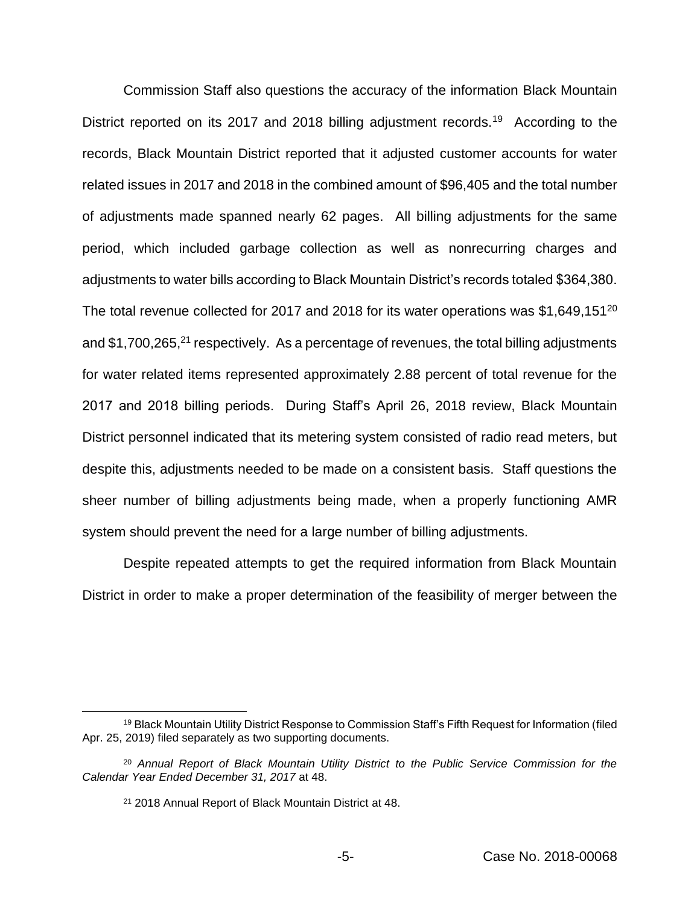Commission Staff also questions the accuracy of the information Black Mountain District reported on its 2017 and 2018 billing adjustment records.<sup>19</sup> According to the records, Black Mountain District reported that it adjusted customer accounts for water related issues in 2017 and 2018 in the combined amount of \$96,405 and the total number of adjustments made spanned nearly 62 pages. All billing adjustments for the same period, which included garbage collection as well as nonrecurring charges and adjustments to water bills according to Black Mountain District's records totaled \$364,380. The total revenue collected for 2017 and 2018 for its water operations was \$1,649,151<sup>20</sup> and  $$1,700,265$ <sup>21</sup> respectively. As a percentage of revenues, the total billing adjustments for water related items represented approximately 2.88 percent of total revenue for the 2017 and 2018 billing periods. During Staff's April 26, 2018 review, Black Mountain District personnel indicated that its metering system consisted of radio read meters, but despite this, adjustments needed to be made on a consistent basis. Staff questions the sheer number of billing adjustments being made, when a properly functioning AMR system should prevent the need for a large number of billing adjustments.

Despite repeated attempts to get the required information from Black Mountain District in order to make a proper determination of the feasibility of merger between the

<sup>&</sup>lt;sup>19</sup> Black Mountain Utility District Response to Commission Staff's Fifth Request for Information (filed Apr. 25, 2019) filed separately as two supporting documents.

<sup>20</sup> *Annual Report of Black Mountain Utility District to the Public Service Commission for the Calendar Year Ended December 31, 2017* at 48.

<sup>21</sup> 2018 Annual Report of Black Mountain District at 48.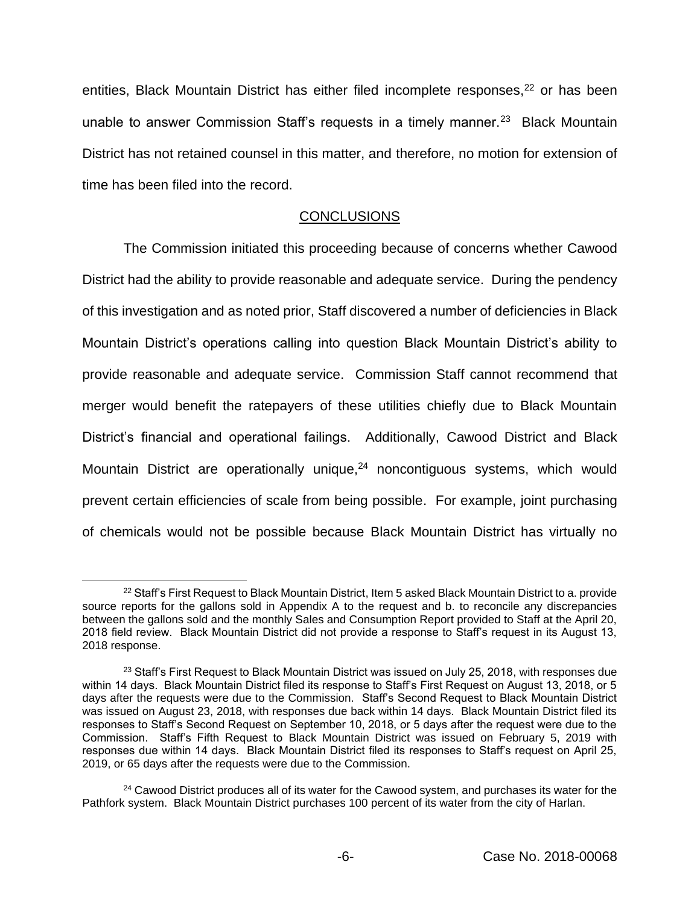entities, Black Mountain District has either filed incomplete responses,<sup>22</sup> or has been unable to answer Commission Staff's requests in a timely manner.<sup>23</sup> Black Mountain District has not retained counsel in this matter, and therefore, no motion for extension of time has been filed into the record.

# **CONCLUSIONS**

The Commission initiated this proceeding because of concerns whether Cawood District had the ability to provide reasonable and adequate service. During the pendency of this investigation and as noted prior, Staff discovered a number of deficiencies in Black Mountain District's operations calling into question Black Mountain District's ability to provide reasonable and adequate service. Commission Staff cannot recommend that merger would benefit the ratepayers of these utilities chiefly due to Black Mountain District's financial and operational failings. Additionally, Cawood District and Black Mountain District are operationally unique,<sup>24</sup> noncontiguous systems, which would prevent certain efficiencies of scale from being possible. For example, joint purchasing of chemicals would not be possible because Black Mountain District has virtually no

<sup>&</sup>lt;sup>22</sup> Staff's First Request to Black Mountain District, Item 5 asked Black Mountain District to a. provide source reports for the gallons sold in Appendix A to the request and b. to reconcile any discrepancies between the gallons sold and the monthly Sales and Consumption Report provided to Staff at the April 20, 2018 field review. Black Mountain District did not provide a response to Staff's request in its August 13, 2018 response.

 $23$  Staff's First Request to Black Mountain District was issued on July 25, 2018, with responses due within 14 days. Black Mountain District filed its response to Staff's First Request on August 13, 2018, or 5 days after the requests were due to the Commission. Staff's Second Request to Black Mountain District was issued on August 23, 2018, with responses due back within 14 days. Black Mountain District filed its responses to Staff's Second Request on September 10, 2018, or 5 days after the request were due to the Commission. Staff's Fifth Request to Black Mountain District was issued on February 5, 2019 with responses due within 14 days. Black Mountain District filed its responses to Staff's request on April 25, 2019, or 65 days after the requests were due to the Commission.

<sup>&</sup>lt;sup>24</sup> Cawood District produces all of its water for the Cawood system, and purchases its water for the Pathfork system. Black Mountain District purchases 100 percent of its water from the city of Harlan.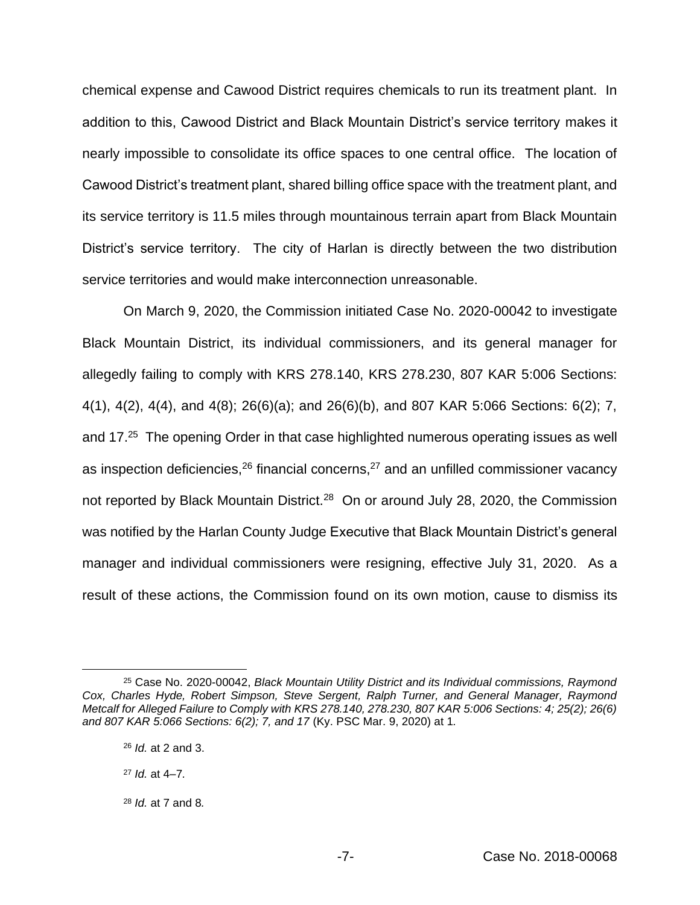chemical expense and Cawood District requires chemicals to run its treatment plant. In addition to this, Cawood District and Black Mountain District's service territory makes it nearly impossible to consolidate its office spaces to one central office. The location of Cawood District's treatment plant, shared billing office space with the treatment plant, and its service territory is 11.5 miles through mountainous terrain apart from Black Mountain District's service territory. The city of Harlan is directly between the two distribution service territories and would make interconnection unreasonable.

On March 9, 2020, the Commission initiated Case No. 2020-00042 to investigate Black Mountain District, its individual commissioners, and its general manager for allegedly failing to comply with KRS 278.140, KRS 278.230, 807 KAR 5:006 Sections: 4(1), 4(2), 4(4), and 4(8); 26(6)(a); and 26(6)(b), and 807 KAR 5:066 Sections: 6(2); 7, and 17.<sup>25</sup> The opening Order in that case highlighted numerous operating issues as well as inspection deficiencies, $26$  financial concerns, $27$  and an unfilled commissioner vacancy not reported by Black Mountain District.<sup>28</sup> On or around July 28, 2020, the Commission was notified by the Harlan County Judge Executive that Black Mountain District's general manager and individual commissioners were resigning, effective July 31, 2020. As a result of these actions, the Commission found on its own motion, cause to dismiss its

<sup>25</sup> Case No. 2020-00042, *Black Mountain Utility District and its Individual commissions, Raymond Cox, Charles Hyde, Robert Simpson, Steve Sergent, Ralph Turner, and General Manager, Raymond Metcalf for Alleged Failure to Comply with KRS 278.140, 278.230, 807 KAR 5:006 Sections: 4; 25(2); 26(6) and 807 KAR 5:066 Sections: 6(2); 7, and 17* (Ky. PSC Mar. 9, 2020) at 1*.* 

<sup>26</sup> *Id.* at 2 and 3.

<sup>27</sup> *Id.* at 4–7*.*

<sup>28</sup> *Id.* at 7 and 8*.*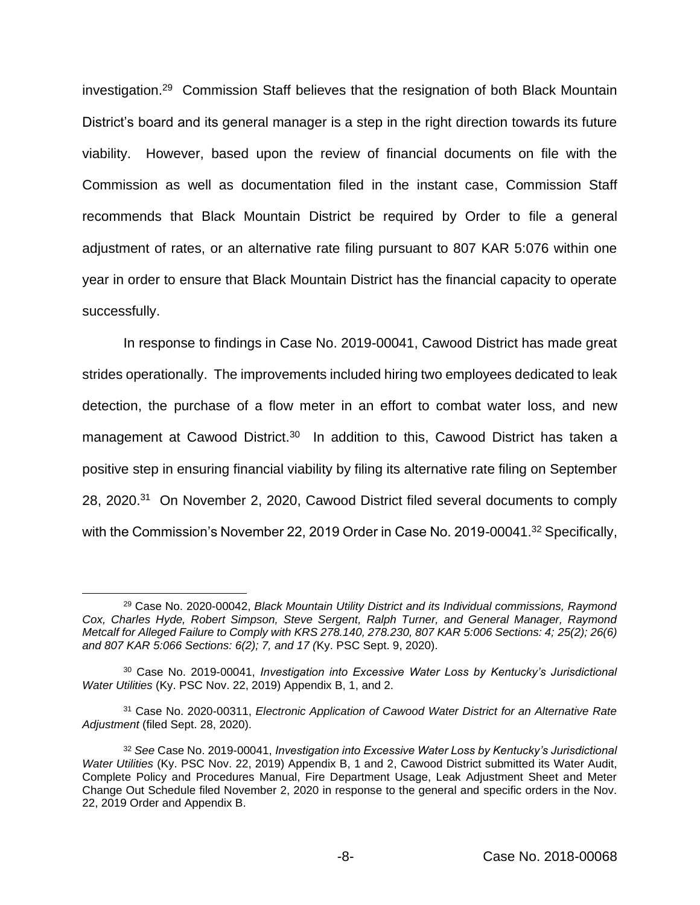investigation.<sup>29</sup> Commission Staff believes that the resignation of both Black Mountain District's board and its general manager is a step in the right direction towards its future viability. However, based upon the review of financial documents on file with the Commission as well as documentation filed in the instant case, Commission Staff recommends that Black Mountain District be required by Order to file a general adjustment of rates, or an alternative rate filing pursuant to 807 KAR 5:076 within one year in order to ensure that Black Mountain District has the financial capacity to operate successfully.

In response to findings in Case No. 2019-00041, Cawood District has made great strides operationally. The improvements included hiring two employees dedicated to leak detection, the purchase of a flow meter in an effort to combat water loss, and new management at Cawood District.<sup>30</sup> In addition to this, Cawood District has taken a positive step in ensuring financial viability by filing its alternative rate filing on September 28, 2020.<sup>31</sup> On November 2, 2020, Cawood District filed several documents to comply with the Commission's November 22, 2019 Order in Case No. 2019-00041.<sup>32</sup> Specifically,

<sup>29</sup> Case No. 2020-00042, *Black Mountain Utility District and its Individual commissions, Raymond Cox, Charles Hyde, Robert Simpson, Steve Sergent, Ralph Turner, and General Manager, Raymond Metcalf for Alleged Failure to Comply with KRS 278.140, 278.230, 807 KAR 5:006 Sections: 4; 25(2); 26(6) and 807 KAR 5:066 Sections: 6(2); 7, and 17 (*Ky. PSC Sept. 9, 2020).

<sup>30</sup> Case No. 2019-00041, *Investigation into Excessive Water Loss by Kentucky's Jurisdictional Water Utilities* (Ky. PSC Nov. 22, 2019) Appendix B, 1, and 2.

<sup>31</sup> Case No. 2020-00311, *Electronic Application of Cawood Water District for an Alternative Rate Adjustment* (filed Sept. 28, 2020).

<sup>32</sup> *See* Case No. 2019-00041, *Investigation into Excessive Water Loss by Kentucky's Jurisdictional Water Utilities* (Ky. PSC Nov. 22, 2019) Appendix B, 1 and 2, Cawood District submitted its Water Audit, Complete Policy and Procedures Manual, Fire Department Usage, Leak Adjustment Sheet and Meter Change Out Schedule filed November 2, 2020 in response to the general and specific orders in the Nov. 22, 2019 Order and Appendix B.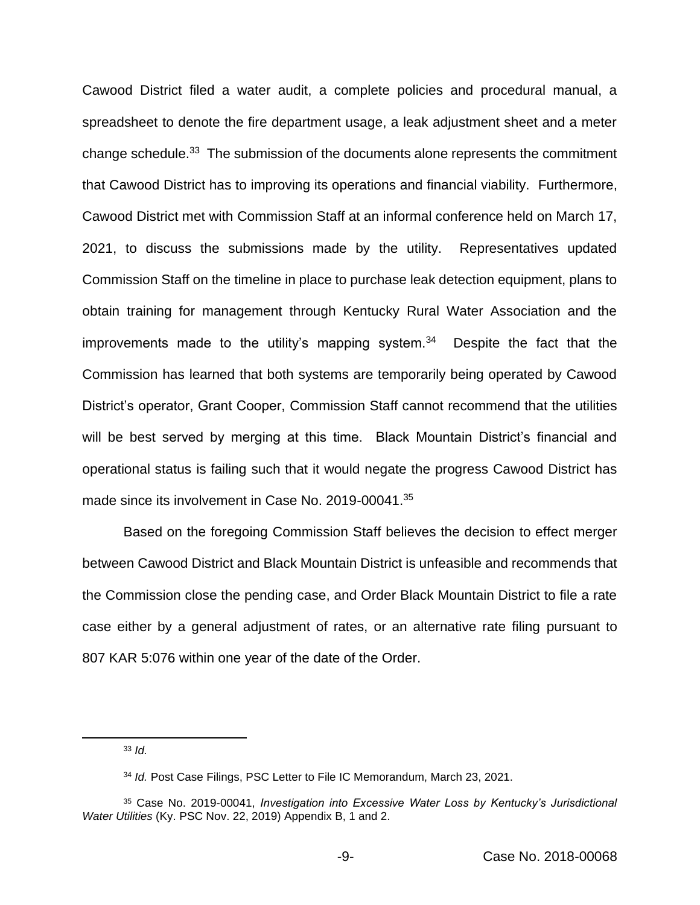Cawood District filed a water audit, a complete policies and procedural manual, a spreadsheet to denote the fire department usage, a leak adjustment sheet and a meter change schedule.<sup>33</sup> The submission of the documents alone represents the commitment that Cawood District has to improving its operations and financial viability. Furthermore, Cawood District met with Commission Staff at an informal conference held on March 17, 2021, to discuss the submissions made by the utility. Representatives updated Commission Staff on the timeline in place to purchase leak detection equipment, plans to obtain training for management through Kentucky Rural Water Association and the improvements made to the utility's mapping system. $34$  Despite the fact that the Commission has learned that both systems are temporarily being operated by Cawood District's operator, Grant Cooper, Commission Staff cannot recommend that the utilities will be best served by merging at this time. Black Mountain District's financial and operational status is failing such that it would negate the progress Cawood District has made since its involvement in Case No. 2019-00041.<sup>35</sup>

Based on the foregoing Commission Staff believes the decision to effect merger between Cawood District and Black Mountain District is unfeasible and recommends that the Commission close the pending case, and Order Black Mountain District to file a rate case either by a general adjustment of rates, or an alternative rate filing pursuant to 807 KAR 5:076 within one year of the date of the Order.

<sup>33</sup> *Id.*

<sup>34</sup> *Id.* Post Case Filings, PSC Letter to File IC Memorandum, March 23, 2021.

<sup>35</sup> Case No. 2019-00041, *Investigation into Excessive Water Loss by Kentucky's Jurisdictional Water Utilities* (Ky. PSC Nov. 22, 2019) Appendix B, 1 and 2.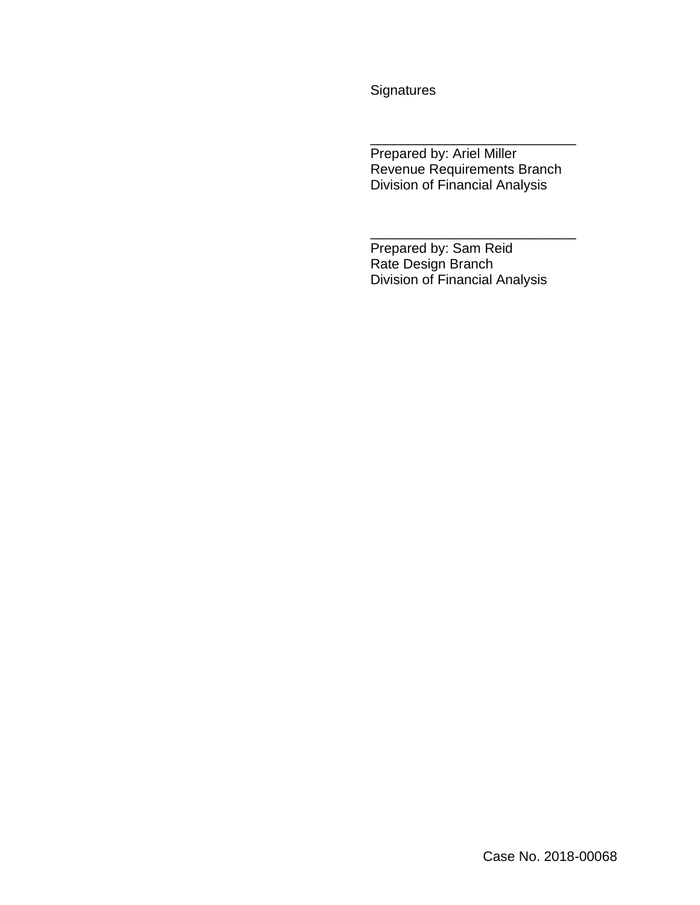**Signatures** 

Prepared by: Ariel Miller Revenue Requirements Branch Division of Financial Analysis

\_\_\_\_\_\_\_\_\_\_\_\_\_\_\_\_\_\_\_\_\_\_\_\_\_\_\_

\_\_\_\_\_\_\_\_\_\_\_\_\_\_\_\_\_\_\_\_\_\_\_\_\_\_\_

Prepared by: Sam Reid Rate Design Branch Division of Financial Analysis